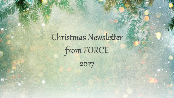# Christmas Newsletter from FORCE

2017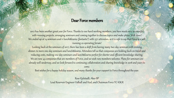### Dear Force members

2017 has been another great year for Force. Thanks to our hard working members, you have made 2017 so eventful with running projects, arranging seminars and coming together to discuss topics and make plans. Well done! We ended up at 14 seminars and 11 lunch&learns (fantastic!) with 1371 attendees, so it is safe to say that Force is a well running co-operating forum!

Looking back at the seminars of 2017, there has been a shift from having many two-day seminars with evening dinner, to more one-day seminars and lunch&learns. Attendees tell us that companies are holding back on travel and reducing costs, making one-day seminars and lunch&learns perfect for shorter and efficient knowledge-sharing. We are now 43 companies that are members of Force, and we wish new members welcome. Plans for seminars are already well underway, and we look forward to continuing collaboration and sharing knowledge in 2018 and years to come.

Best wishes for a happy holiday season, and many thanks for your support to Force throughout the year.

Roar Kjelstadli, Aker BP Lead Reservoir Engineer Valhall and Hod, and Chairman Force TC-IOGR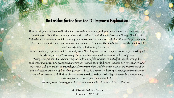## Best wishes for the from the TC-Improved Exploration

The network groups in Improved Exploration have had an active 2017, with good attendance at our 9 seminars and 5 lunch&learns. The enthusiasm and good work will continue in 2018 within the Structural Geology, Geophysical Methods and Sedimentology and Stratigraphy groups. We urge the companies to dedicate time to give presentations at the Force seminars in order to better share information and to improve the quality. The Technical Committee will continue to facilitate a high activity level in Force.

The new network group, Basin and Petroleum Systems Modelling, is in the start-up process and the first meeting will be held early in 2018. We encourage Force members to nominate candidates to this new group.

During Spring of 2018, the network groups will offer a new field excursion to the Gulf of Corinth, arranged in collaboration with structural geologist Einar Sverdrup, who will be our field guide. The excursion gives an overview of the tectonic evolution and the sedimentological development of the Gulf of Corinth basin. In the environment of an active rift system, examples of fault block geometries, facies development and geological heterogeneities on various scales will be demonstrated. The field observations can be closely related to the Upper Jurassic development along basin margins on the Norwegian Continental Shelf.

We look forward to seeing you all at our seminars and field trips in 2018. Merry Christmas!

Laila Elisabeth Pedersen, Suncor Chairman FORCE TC-IE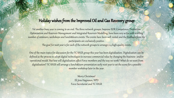## Holiday wishes from the Improved Oil and Gas Recovery group

Yet another busy year is coming to an end. The three network groups, Improve EOR Competence, Production Optimisation and Reservoir Management and Integrated Reservoir Modelling, have been very active with a telling number of seminars, workshops and lunch&learn events. The events have been well visited and the feedback from the participants are exclusively positive.

The goal for next year is for each of the network groups to arrange 2-4 high quality events

One of the main topics for discussion for the TC IOGR group this year has been digitalisation. Digitalisation can be defined as the process to adopt digital technologies to increase commercial value by changing the business- and/or operational model. But how will digitalisation affect Force members and the way we work? What do we want from digitalisation? TC IOGR will arrange a lunch&learn presentation early next year to set the scene for a possible member workshop later in the year.

> Merry Christmas! Eli Jens Høgnesen, NPD Force Secretariat and TC-IOGR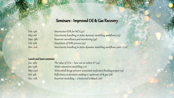# Seminars - Improved Oil & Gas Recovery

| Feb. 14th  | Smartwater EOR for NCS (40)                                              |
|------------|--------------------------------------------------------------------------|
| May 11th   | Uncertainty handling in static-dynamic modelling workflows (113)         |
| Sept. 13th | Reservoir surveillance and monitoring (59)                               |
| Oct. 16th  | Simulation of EOR-process $(25)$                                         |
| Nov. 2nd   | Uncertainty handling in static-dynamic modelling workflows, part $2(70)$ |

#### Lunch and learn seminars

| Jan. 19th | The value of $CO2 - how can we utilize it? (24)$                      |
|-----------|-----------------------------------------------------------------------|
| Jan. 24th | Water saturation modelling $(72)$                                     |
| May 23rd  | Wintershall Brage polymer associated surfactant flooding project (19) |
| Oct. 4th  | Reflections on decistion making in upstream oil & gas (28)            |
| Dec. 12th | Reservoir modelling - a historical lookback (26)                      |
|           |                                                                       |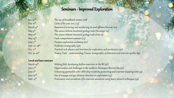# Seminars - Improved Exploration

| Jan. 25 <sup>th</sup>      | The use of broadband seismic (128)                                                              |
|----------------------------|-------------------------------------------------------------------------------------------------|
| Feb. $16^{th}$             | Cores of the year 2017 $(73)$                                                                   |
| March 31st                 | Basement fracturing and weathering on-and offshore Norway (20)                                  |
| May $9^{th}$               | The science behind structural geology tools (Stavanger 24)                                      |
| May 10 <sup>th</sup>       | The science behind structural geology tools (Oslo 13)                                           |
| May $24^{th}$              | Fault compartment seminar $(74)$                                                                |
| June $7^{th}$              | Frontier exploration workshop (67)                                                              |
| Sept. 27.-28 <sup>th</sup> | Predictive stratigraphy (46)                                                                    |
| Oct. $17^{th}$             | Practical rock physics and inversion for exploration and production (151)                       |
| Oct. $19.-20^{th}$         | Triassic Park – understanding Triassic stratigraphic architecture and reservoir quality $(8_3)$ |
|                            |                                                                                                 |

#### Lunch and learn seminars

| Enhancing geomodels with LWD deep resistivity geosteering and reservoir mapping tools (33) |
|--------------------------------------------------------------------------------------------|
|                                                                                            |
| Provenance and correlation of hc reservoir sandstone using heavy mineral techniques (34)   |
|                                                                                            |